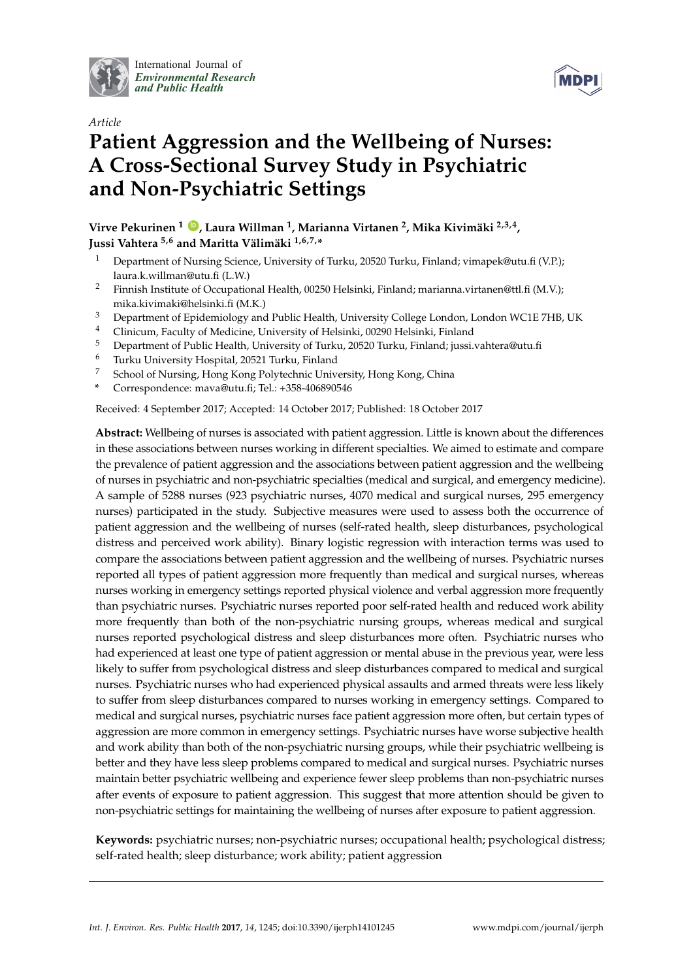

International Journal of *[Environmental Research](http://www.mdpi.com/journal/ijerph) and Public Health*



# *Article* **Patient Aggression and the Wellbeing of Nurses: A Cross-Sectional Survey Study in Psychiatric and Non-Psychiatric Settings**

**Virve Pekurinen <sup>1</sup> [ID](https://orcid.org/0000-0002-2133-2931) , Laura Willman <sup>1</sup> , Marianna Virtanen <sup>2</sup> , Mika Kivimäki 2,3,4 , Jussi Vahtera 5,6 and Maritta Välimäki 1,6,7,\***

- <sup>1</sup> Department of Nursing Science, University of Turku, 20520 Turku, Finland; vimapek@utu.fi (V.P.); laura.k.willman@utu.fi (L.W.)
- <sup>2</sup> Finnish Institute of Occupational Health, 00250 Helsinki, Finland; marianna.virtanen@ttl.fi (M.V.); mika.kivimaki@helsinki.fi (M.K.)
- <sup>3</sup> Department of Epidemiology and Public Health, University College London, London WC1E 7HB, UK
- <sup>4</sup> Clinicum, Faculty of Medicine, University of Helsinki, 00290 Helsinki, Finland
- <sup>5</sup> Department of Public Health, University of Turku, 20520 Turku, Finland; jussi.vahtera@utu.fi
- <sup>6</sup> Turku University Hospital, 20521 Turku, Finland
- School of Nursing, Hong Kong Polytechnic University, Hong Kong, China
- **\*** Correspondence: mava@utu.fi; Tel.: +358-406890546

Received: 4 September 2017; Accepted: 14 October 2017; Published: 18 October 2017

**Abstract:** Wellbeing of nurses is associated with patient aggression. Little is known about the differences in these associations between nurses working in different specialties. We aimed to estimate and compare the prevalence of patient aggression and the associations between patient aggression and the wellbeing of nurses in psychiatric and non-psychiatric specialties (medical and surgical, and emergency medicine). A sample of 5288 nurses (923 psychiatric nurses, 4070 medical and surgical nurses, 295 emergency nurses) participated in the study. Subjective measures were used to assess both the occurrence of patient aggression and the wellbeing of nurses (self-rated health, sleep disturbances, psychological distress and perceived work ability). Binary logistic regression with interaction terms was used to compare the associations between patient aggression and the wellbeing of nurses. Psychiatric nurses reported all types of patient aggression more frequently than medical and surgical nurses, whereas nurses working in emergency settings reported physical violence and verbal aggression more frequently than psychiatric nurses. Psychiatric nurses reported poor self-rated health and reduced work ability more frequently than both of the non-psychiatric nursing groups, whereas medical and surgical nurses reported psychological distress and sleep disturbances more often. Psychiatric nurses who had experienced at least one type of patient aggression or mental abuse in the previous year, were less likely to suffer from psychological distress and sleep disturbances compared to medical and surgical nurses. Psychiatric nurses who had experienced physical assaults and armed threats were less likely to suffer from sleep disturbances compared to nurses working in emergency settings. Compared to medical and surgical nurses, psychiatric nurses face patient aggression more often, but certain types of aggression are more common in emergency settings. Psychiatric nurses have worse subjective health and work ability than both of the non-psychiatric nursing groups, while their psychiatric wellbeing is better and they have less sleep problems compared to medical and surgical nurses. Psychiatric nurses maintain better psychiatric wellbeing and experience fewer sleep problems than non-psychiatric nurses after events of exposure to patient aggression. This suggest that more attention should be given to non-psychiatric settings for maintaining the wellbeing of nurses after exposure to patient aggression.

**Keywords:** psychiatric nurses; non-psychiatric nurses; occupational health; psychological distress; self-rated health; sleep disturbance; work ability; patient aggression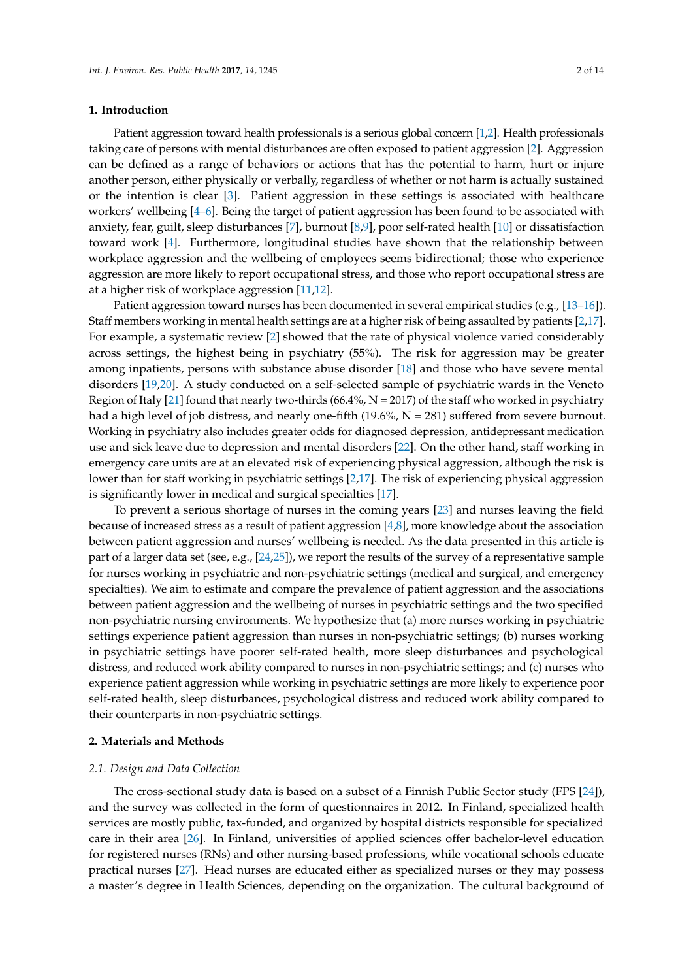## **1. Introduction**

Patient aggression toward health professionals is a serious global concern [\[1](#page-10-0)[,2\]](#page-10-1). Health professionals taking care of persons with mental disturbances are often exposed to patient aggression [\[2\]](#page-10-1). Aggression can be defined as a range of behaviors or actions that has the potential to harm, hurt or injure another person, either physically or verbally, regardless of whether or not harm is actually sustained or the intention is clear [\[3\]](#page-10-2). Patient aggression in these settings is associated with healthcare workers' wellbeing [\[4–](#page-10-3)[6\]](#page-10-4). Being the target of patient aggression has been found to be associated with anxiety, fear, guilt, sleep disturbances [\[7\]](#page-10-5), burnout [\[8](#page-10-6)[,9\]](#page-10-7), poor self-rated health [\[10\]](#page-10-8) or dissatisfaction toward work [\[4\]](#page-10-3). Furthermore, longitudinal studies have shown that the relationship between workplace aggression and the wellbeing of employees seems bidirectional; those who experience aggression are more likely to report occupational stress, and those who report occupational stress are at a higher risk of workplace aggression [\[11,](#page-10-9)[12\]](#page-10-10).

Patient aggression toward nurses has been documented in several empirical studies (e.g., [\[13](#page-10-11)[–16\]](#page-10-12)). Staff members working in mental health settings are at a higher risk of being assaulted by patients [\[2](#page-10-1)[,17\]](#page-10-13). For example, a systematic review [\[2\]](#page-10-1) showed that the rate of physical violence varied considerably across settings, the highest being in psychiatry (55%). The risk for aggression may be greater among inpatients, persons with substance abuse disorder [\[18\]](#page-11-0) and those who have severe mental disorders [\[19,](#page-11-1)[20\]](#page-11-2). A study conducted on a self-selected sample of psychiatric wards in the Veneto Region of Italy [\[21\]](#page-11-3) found that nearly two-thirds (66.4%,  $N = 2017$ ) of the staff who worked in psychiatry had a high level of job distress, and nearly one-fifth  $(19.6\%, N = 281)$  suffered from severe burnout. Working in psychiatry also includes greater odds for diagnosed depression, antidepressant medication use and sick leave due to depression and mental disorders [\[22\]](#page-11-4). On the other hand, staff working in emergency care units are at an elevated risk of experiencing physical aggression, although the risk is lower than for staff working in psychiatric settings [\[2](#page-10-1)[,17\]](#page-10-13). The risk of experiencing physical aggression is significantly lower in medical and surgical specialties [\[17\]](#page-10-13).

To prevent a serious shortage of nurses in the coming years [\[23\]](#page-11-5) and nurses leaving the field because of increased stress as a result of patient aggression [\[4,](#page-10-3)[8\]](#page-10-6), more knowledge about the association between patient aggression and nurses' wellbeing is needed. As the data presented in this article is part of a larger data set (see, e.g., [\[24](#page-11-6)[,25\]](#page-11-7)), we report the results of the survey of a representative sample for nurses working in psychiatric and non-psychiatric settings (medical and surgical, and emergency specialties). We aim to estimate and compare the prevalence of patient aggression and the associations between patient aggression and the wellbeing of nurses in psychiatric settings and the two specified non-psychiatric nursing environments. We hypothesize that (a) more nurses working in psychiatric settings experience patient aggression than nurses in non-psychiatric settings; (b) nurses working in psychiatric settings have poorer self-rated health, more sleep disturbances and psychological distress, and reduced work ability compared to nurses in non-psychiatric settings; and (c) nurses who experience patient aggression while working in psychiatric settings are more likely to experience poor self-rated health, sleep disturbances, psychological distress and reduced work ability compared to their counterparts in non-psychiatric settings.

#### **2. Materials and Methods**

## *2.1. Design and Data Collection*

The cross-sectional study data is based on a subset of a Finnish Public Sector study (FPS [\[24\]](#page-11-6)), and the survey was collected in the form of questionnaires in 2012. In Finland, specialized health services are mostly public, tax-funded, and organized by hospital districts responsible for specialized care in their area [\[26\]](#page-11-8). In Finland, universities of applied sciences offer bachelor-level education for registered nurses (RNs) and other nursing-based professions, while vocational schools educate practical nurses [\[27\]](#page-11-9). Head nurses are educated either as specialized nurses or they may possess a master's degree in Health Sciences, depending on the organization. The cultural background of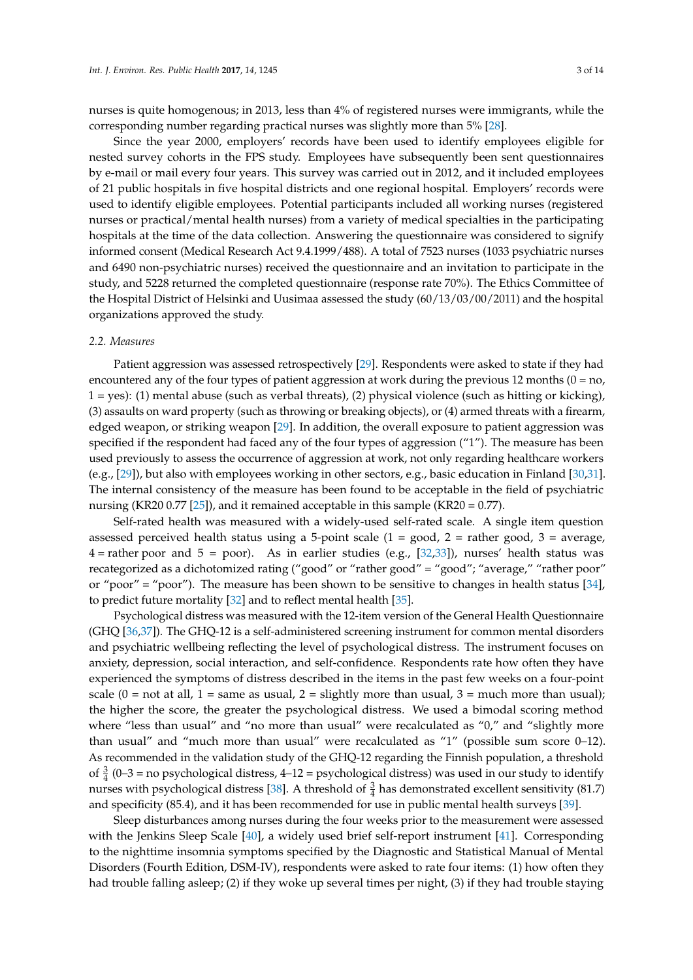nurses is quite homogenous; in 2013, less than 4% of registered nurses were immigrants, while the corresponding number regarding practical nurses was slightly more than 5% [\[28\]](#page-11-10).

Since the year 2000, employers' records have been used to identify employees eligible for nested survey cohorts in the FPS study. Employees have subsequently been sent questionnaires by e-mail or mail every four years. This survey was carried out in 2012, and it included employees of 21 public hospitals in five hospital districts and one regional hospital. Employers' records were used to identify eligible employees. Potential participants included all working nurses (registered nurses or practical/mental health nurses) from a variety of medical specialties in the participating hospitals at the time of the data collection. Answering the questionnaire was considered to signify informed consent (Medical Research Act 9.4.1999/488). A total of 7523 nurses (1033 psychiatric nurses and 6490 non-psychiatric nurses) received the questionnaire and an invitation to participate in the study, and 5228 returned the completed questionnaire (response rate 70%). The Ethics Committee of the Hospital District of Helsinki and Uusimaa assessed the study (60/13/03/00/2011) and the hospital organizations approved the study.

#### *2.2. Measures*

Patient aggression was assessed retrospectively [\[29\]](#page-11-11). Respondents were asked to state if they had encountered any of the four types of patient aggression at work during the previous 12 months ( $0 = no$ , 1 = yes): (1) mental abuse (such as verbal threats), (2) physical violence (such as hitting or kicking), (3) assaults on ward property (such as throwing or breaking objects), or (4) armed threats with a firearm, edged weapon, or striking weapon [\[29\]](#page-11-11). In addition, the overall exposure to patient aggression was specified if the respondent had faced any of the four types of aggression ("1"). The measure has been used previously to assess the occurrence of aggression at work, not only regarding healthcare workers (e.g., [\[29\]](#page-11-11)), but also with employees working in other sectors, e.g., basic education in Finland [\[30,](#page-11-12)[31\]](#page-11-13). The internal consistency of the measure has been found to be acceptable in the field of psychiatric nursing (KR20 0.77 [\[25\]](#page-11-7)), and it remained acceptable in this sample (KR20 = 0.77).

Self-rated health was measured with a widely-used self-rated scale. A single item question assessed perceived health status using a 5-point scale  $(1 = good, 2 = rather good, 3 = average,$  $4 =$ rather poor and  $5 =$  poor). As in earlier studies (e.g., [\[32](#page-11-14)[,33\]](#page-11-15)), nurses' health status was recategorized as a dichotomized rating ("good" or "rather good" = "good"; "average," "rather poor" or "poor" = "poor"). The measure has been shown to be sensitive to changes in health status [\[34\]](#page-11-16), to predict future mortality [\[32\]](#page-11-14) and to reflect mental health [\[35\]](#page-11-17).

Psychological distress was measured with the 12-item version of the General Health Questionnaire (GHQ [\[36,](#page-12-0)[37\]](#page-12-1)). The GHQ-12 is a self-administered screening instrument for common mental disorders and psychiatric wellbeing reflecting the level of psychological distress. The instrument focuses on anxiety, depression, social interaction, and self-confidence. Respondents rate how often they have experienced the symptoms of distress described in the items in the past few weeks on a four-point scale  $(0 = not at all, 1 = same as usual, 2 = slightly more than usual, 3 = much more than usual);$ the higher the score, the greater the psychological distress. We used a bimodal scoring method where "less than usual" and "no more than usual" were recalculated as "0," and "slightly more than usual" and "much more than usual" were recalculated as "1" (possible sum score 0–12). As recommended in the validation study of the GHQ-12 regarding the Finnish population, a threshold of  $\frac{3}{4}$  (0–3 = no psychological distress, 4–12 = psychological distress) was used in our study to identify nurses with psychological distress [\[38\]](#page-12-2). A threshold of  $\frac{3}{4}$  has demonstrated excellent sensitivity (81.7) and specificity (85.4), and it has been recommended for use in public mental health surveys [\[39\]](#page-12-3).

Sleep disturbances among nurses during the four weeks prior to the measurement were assessed with the Jenkins Sleep Scale [\[40\]](#page-12-4), a widely used brief self-report instrument [\[41\]](#page-12-5). Corresponding to the nighttime insomnia symptoms specified by the Diagnostic and Statistical Manual of Mental Disorders (Fourth Edition, DSM-IV), respondents were asked to rate four items: (1) how often they had trouble falling asleep; (2) if they woke up several times per night, (3) if they had trouble staying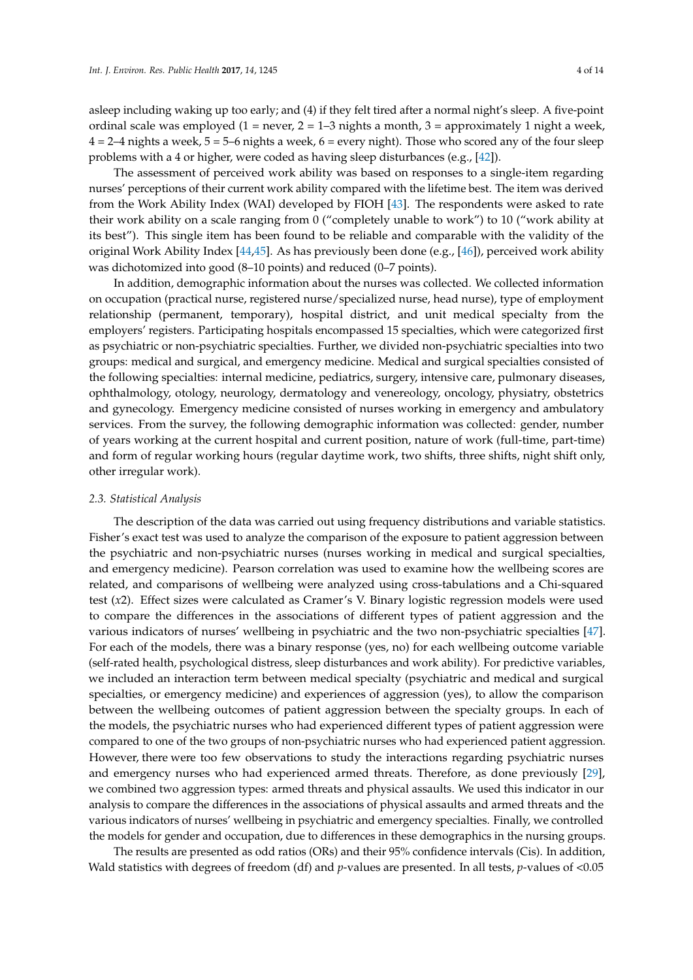asleep including waking up too early; and (4) if they felt tired after a normal night's sleep. A five-point ordinal scale was employed  $(1 =$  never,  $2 = 1-3$  nights a month,  $3 =$  approximately 1 night a week,  $4 = 2-4$  nights a week,  $5 = 5-6$  nights a week,  $6 =$  every night). Those who scored any of the four sleep problems with a 4 or higher, were coded as having sleep disturbances (e.g., [\[42\]](#page-12-6)).

The assessment of perceived work ability was based on responses to a single-item regarding nurses' perceptions of their current work ability compared with the lifetime best. The item was derived from the Work Ability Index (WAI) developed by FIOH [\[43\]](#page-12-7). The respondents were asked to rate their work ability on a scale ranging from 0 ("completely unable to work") to 10 ("work ability at its best"). This single item has been found to be reliable and comparable with the validity of the original Work Ability Index [\[44,](#page-12-8)[45\]](#page-12-9). As has previously been done (e.g., [\[46\]](#page-12-10)), perceived work ability was dichotomized into good (8–10 points) and reduced (0–7 points).

In addition, demographic information about the nurses was collected. We collected information on occupation (practical nurse, registered nurse/specialized nurse, head nurse), type of employment relationship (permanent, temporary), hospital district, and unit medical specialty from the employers' registers. Participating hospitals encompassed 15 specialties, which were categorized first as psychiatric or non-psychiatric specialties. Further, we divided non-psychiatric specialties into two groups: medical and surgical, and emergency medicine. Medical and surgical specialties consisted of the following specialties: internal medicine, pediatrics, surgery, intensive care, pulmonary diseases, ophthalmology, otology, neurology, dermatology and venereology, oncology, physiatry, obstetrics and gynecology. Emergency medicine consisted of nurses working in emergency and ambulatory services. From the survey, the following demographic information was collected: gender, number of years working at the current hospital and current position, nature of work (full-time, part-time) and form of regular working hours (regular daytime work, two shifts, three shifts, night shift only, other irregular work).

#### *2.3. Statistical Analysis*

The description of the data was carried out using frequency distributions and variable statistics. Fisher's exact test was used to analyze the comparison of the exposure to patient aggression between the psychiatric and non-psychiatric nurses (nurses working in medical and surgical specialties, and emergency medicine). Pearson correlation was used to examine how the wellbeing scores are related, and comparisons of wellbeing were analyzed using cross-tabulations and a Chi-squared test (*x*2). Effect sizes were calculated as Cramer's V. Binary logistic regression models were used to compare the differences in the associations of different types of patient aggression and the various indicators of nurses' wellbeing in psychiatric and the two non-psychiatric specialties [\[47\]](#page-12-11). For each of the models, there was a binary response (yes, no) for each wellbeing outcome variable (self-rated health, psychological distress, sleep disturbances and work ability). For predictive variables, we included an interaction term between medical specialty (psychiatric and medical and surgical specialties, or emergency medicine) and experiences of aggression (yes), to allow the comparison between the wellbeing outcomes of patient aggression between the specialty groups. In each of the models, the psychiatric nurses who had experienced different types of patient aggression were compared to one of the two groups of non-psychiatric nurses who had experienced patient aggression. However, there were too few observations to study the interactions regarding psychiatric nurses and emergency nurses who had experienced armed threats. Therefore, as done previously [\[29\]](#page-11-11), we combined two aggression types: armed threats and physical assaults. We used this indicator in our analysis to compare the differences in the associations of physical assaults and armed threats and the various indicators of nurses' wellbeing in psychiatric and emergency specialties. Finally, we controlled the models for gender and occupation, due to differences in these demographics in the nursing groups.

The results are presented as odd ratios (ORs) and their 95% confidence intervals (Cis). In addition, Wald statistics with degrees of freedom (df) and *p*-values are presented. In all tests, *p*-values of <0.05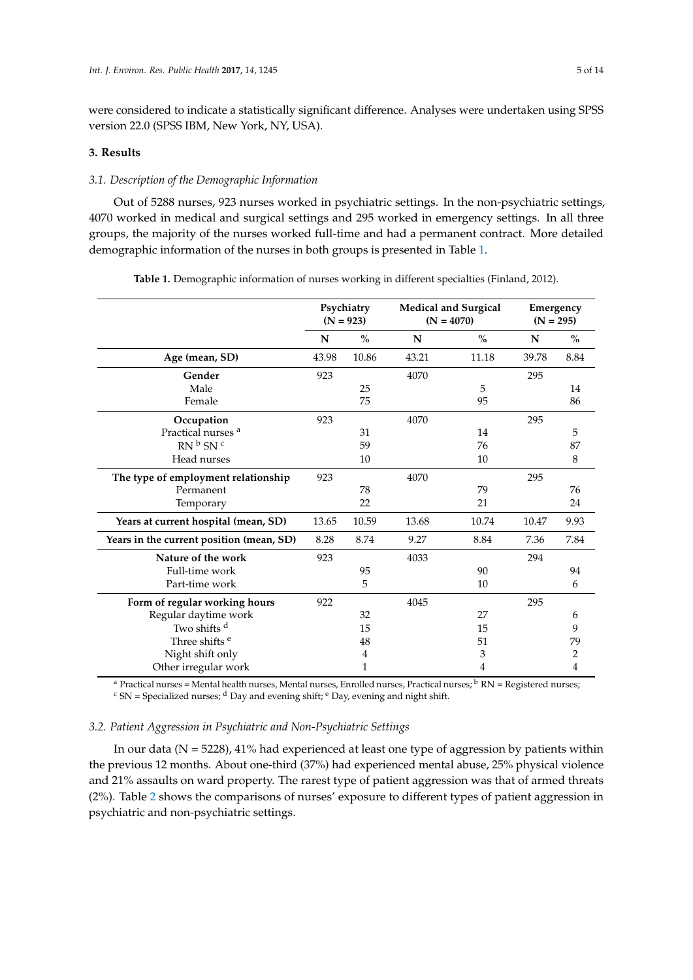were considered to indicate a statistically significant difference. Analyses were undertaken using SPSS version 22.0 (SPSS IBM, New York, NY, USA).

## **3. Results**

## *3.1. Description of the Demographic Information*

Out of 5288 nurses, 923 nurses worked in psychiatric settings. In the non-psychiatric settings, 4070 worked in medical and surgical settings and 295 worked in emergency settings. In all three groups, the majority of the nurses worked full-time and had a permanent contract. More detailed demographic information of the nurses in both groups is presented in Table [1.](#page-4-0)

<span id="page-4-0"></span>

|                                          |       | Psychiatry<br>$(N = 923)$ | <b>Medical and Surgical</b><br>$(N = 4070)$ | $(N = 295)$   | Emergency |                |
|------------------------------------------|-------|---------------------------|---------------------------------------------|---------------|-----------|----------------|
|                                          | N     | $\%$                      | N                                           | $\frac{0}{0}$ | N         | $\frac{0}{0}$  |
| Age (mean, SD)                           | 43.98 | 10.86                     | 43.21                                       | 11.18         | 39.78     | 8.84           |
| Gender                                   | 923   |                           | 4070                                        |               | 295       |                |
| Male                                     |       | 25                        |                                             | 5             |           | 14             |
| Female                                   |       | 75                        |                                             | 95            |           | 86             |
| Occupation                               | 923   |                           | 4070                                        |               | 295       |                |
| Practical nurses <sup>a</sup>            |       | 31                        |                                             | 14            |           | 5              |
| $RN^{b}$ SN <sup>c</sup>                 |       | 59                        |                                             | 76            |           | 87             |
| Head nurses                              |       | 10                        |                                             | 10            |           | 8              |
| The type of employment relationship      | 923   |                           | 4070                                        |               | 295       |                |
| Permanent                                |       | 78                        |                                             | 79            |           | 76             |
| Temporary                                |       | 22                        |                                             | 21            |           | 24             |
| Years at current hospital (mean, SD)     | 13.65 | 10.59                     | 13.68                                       | 10.74         | 10.47     | 9.93           |
| Years in the current position (mean, SD) | 8.28  | 8.74                      | 9.27                                        | 8.84          | 7.36      | 7.84           |
| Nature of the work                       | 923   |                           | 4033                                        |               | 294       |                |
| Full-time work                           |       | 95                        |                                             | 90            |           | 94             |
| Part-time work                           |       | 5                         |                                             | 10            |           | 6              |
| Form of regular working hours            | 922   |                           | 4045                                        |               | 295       |                |
| Regular daytime work                     |       | 32                        |                                             | 27            |           | 6              |
| Two shifts <sup>d</sup>                  |       | 15                        |                                             | 15            |           | 9              |
| Three shifts <sup>e</sup>                |       | 48                        |                                             | 51            |           | 79             |
| Night shift only                         |       | 4                         |                                             | 3             |           | $\overline{c}$ |
| Other irregular work                     |       | 1                         |                                             | 4             |           | $\overline{4}$ |

**Table 1.** Demographic information of nurses working in different specialties (Finland, 2012).

<sup>a</sup> Practical nurses = Mental health nurses, Mental nurses, Enrolled nurses, Practical nurses;  ${}^{\text{b}}$  RN = Registered nurses;  $c$  SN = Specialized nurses;  $d$  Day and evening shift;  $e$  Day, evening and night shift.

## *3.2. Patient Aggression in Psychiatric and Non-Psychiatric Settings*

In our data ( $N = 5228$ ), 41% had experienced at least one type of aggression by patients within the previous 12 months. About one-third (37%) had experienced mental abuse, 25% physical violence and 21% assaults on ward property. The rarest type of patient aggression was that of armed threats (2%). Table [2](#page-5-0) shows the comparisons of nurses' exposure to different types of patient aggression in psychiatric and non-psychiatric settings.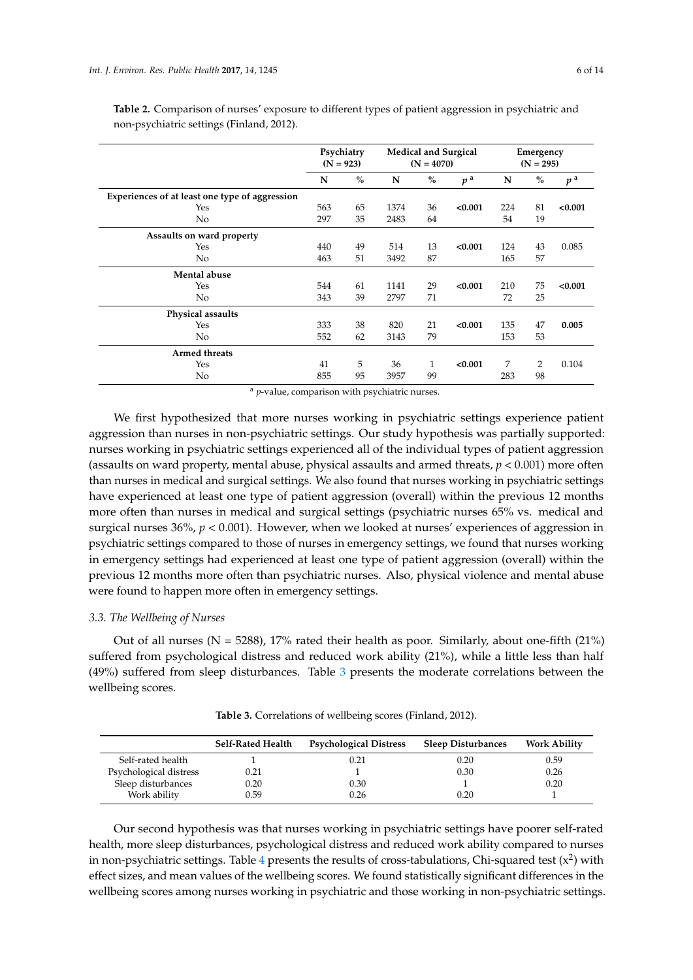|                                                | Psychiatry<br>$(N = 923)$ |               |      | $(N = 4070)$ | <b>Medical and Surgical</b> | Emergency<br>$(N = 295)$ |                |                |
|------------------------------------------------|---------------------------|---------------|------|--------------|-----------------------------|--------------------------|----------------|----------------|
|                                                | N                         | $\frac{0}{0}$ | N    | $\%$         | p <sup>a</sup>              | N                        | $\%$           | p <sup>a</sup> |
| Experiences of at least one type of aggression |                           |               |      |              |                             |                          |                |                |
| Yes                                            | 563                       | 65            | 1374 | 36           | < 0.001                     | 224                      | 81             | < 0.001        |
| N <sub>o</sub>                                 | 297                       | 35            | 2483 | 64           |                             | 54                       | 19             |                |
| Assaults on ward property                      |                           |               |      |              |                             |                          |                |                |
| Yes                                            | 440                       | 49            | 514  | 13           | < 0.001                     | 124                      | 43             | 0.085          |
| N <sub>o</sub>                                 | 463                       | 51            | 3492 | 87           |                             | 165                      | 57             |                |
| Mental abuse                                   |                           |               |      |              |                             |                          |                |                |
| Yes                                            | 544                       | 61            | 1141 | 29           | < 0.001                     | 210                      | 75             | < 0.001        |
| No                                             | 343                       | 39            | 2797 | 71           |                             | 72                       | 25             |                |
| Physical assaults                              |                           |               |      |              |                             |                          |                |                |
| Yes                                            | 333                       | 38            | 820  | 21           | < 0.001                     | 135                      | 47             | 0.005          |
| N <sub>o</sub>                                 | 552                       | 62            | 3143 | 79           |                             | 153                      | 53             |                |
| <b>Armed threats</b>                           |                           |               |      |              |                             |                          |                |                |
| Yes                                            | 41                        | 5             | 36   | 1            | < 0.001                     | 7                        | $\overline{2}$ | 0.104          |
| No                                             | 855                       | 95            | 3957 | 99           |                             | 283                      | 98             |                |

<span id="page-5-0"></span>**Table 2.** Comparison of nurses' exposure to different types of patient aggression in psychiatric and non-psychiatric settings (Finland, 2012).

<sup>a</sup> *p*-value, comparison with psychiatric nurses.

We first hypothesized that more nurses working in psychiatric settings experience patient aggression than nurses in non-psychiatric settings. Our study hypothesis was partially supported: nurses working in psychiatric settings experienced all of the individual types of patient aggression (assaults on ward property, mental abuse, physical assaults and armed threats, *p* < 0.001) more often than nurses in medical and surgical settings. We also found that nurses working in psychiatric settings have experienced at least one type of patient aggression (overall) within the previous 12 months more often than nurses in medical and surgical settings (psychiatric nurses 65% vs. medical and surgical nurses 36%,  $p < 0.001$ ). However, when we looked at nurses' experiences of aggression in psychiatric settings compared to those of nurses in emergency settings, we found that nurses working in emergency settings had experienced at least one type of patient aggression (overall) within the previous 12 months more often than psychiatric nurses. Also, physical violence and mental abuse were found to happen more often in emergency settings.

## *3.3. The Wellbeing of Nurses*

Out of all nurses ( $N = 5288$ ), 17% rated their health as poor. Similarly, about one-fifth (21%) suffered from psychological distress and reduced work ability (21%), while a little less than half (49%) suffered from sleep disturbances. Table [3](#page-5-1) presents the moderate correlations between the wellbeing scores.

<span id="page-5-1"></span>

|                        | <b>Self-Rated Health</b> | <b>Psychological Distress</b> | <b>Sleep Disturbances</b> | <b>Work Ability</b> |
|------------------------|--------------------------|-------------------------------|---------------------------|---------------------|
| Self-rated health      |                          | 0.21                          | 0.20                      | 0.59                |
| Psychological distress | 0.21                     |                               | 0.30                      | 0.26                |
| Sleep disturbances     | 0.20                     | 0.30                          |                           | 0.20                |
| Work ability           | 0.59                     | 0.26                          | 0.20                      |                     |

**Table 3.** Correlations of wellbeing scores (Finland, 2012).

Our second hypothesis was that nurses working in psychiatric settings have poorer self-rated health, more sleep disturbances, psychological distress and reduced work ability compared to nurses in non-psychiatric settings. Table [4](#page-6-0) presents the results of cross-tabulations, Chi-squared test  $(x^2)$  with effect sizes, and mean values of the wellbeing scores. We found statistically significant differences in the wellbeing scores among nurses working in psychiatric and those working in non-psychiatric settings.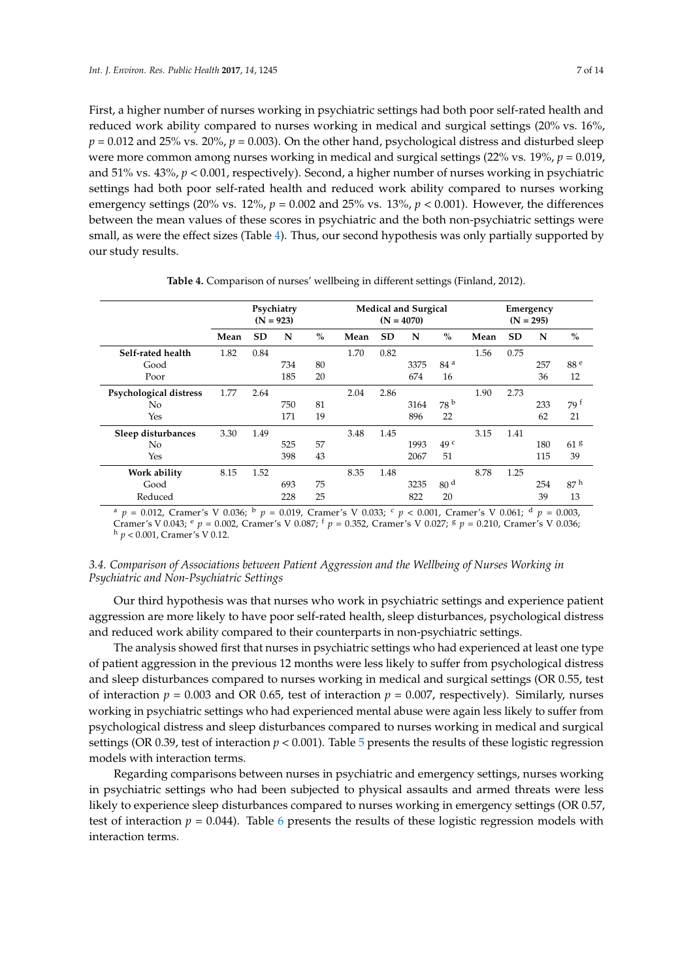First, a higher number of nurses working in psychiatric settings had both poor self-rated health and reduced work ability compared to nurses working in medical and surgical settings (20% vs. 16%,  $p = 0.012$  and 25% vs. 20%,  $p = 0.003$ ). On the other hand, psychological distress and disturbed sleep were more common among nurses working in medical and surgical settings (22% vs. 19%, *p* = 0.019, and 51% vs. 43%, *p* < 0.001, respectively). Second, a higher number of nurses working in psychiatric settings had both poor self-rated health and reduced work ability compared to nurses working emergency settings (20% vs.  $12\%$ ,  $p = 0.002$  and 25% vs.  $13\%$ ,  $p < 0.001$ ). However, the differences between the mean values of these scores in psychiatric and the both non-psychiatric settings were small, as were the effect sizes (Table [4\)](#page-6-0). Thus, our second hypothesis was only partially supported by our study results.

<span id="page-6-0"></span>

|                        | Psychiatry<br>$(N = 923)$ |           |     |      |      | $(N = 4070)$ | <b>Medical and Surgical</b> |                 | Emergency<br>$(N = 295)$ |           |     |                  |  |
|------------------------|---------------------------|-----------|-----|------|------|--------------|-----------------------------|-----------------|--------------------------|-----------|-----|------------------|--|
|                        | Mean                      | <b>SD</b> | N   | $\%$ | Mean | <b>SD</b>    | N                           | $\%$            | Mean                     | <b>SD</b> | N   | $\%$             |  |
| Self-rated health      | 1.82                      | 0.84      |     |      | 1.70 | 0.82         |                             |                 | 1.56                     | 0.75      |     |                  |  |
| Good                   |                           |           | 734 | 80   |      |              | 3375                        | 84 <sup>a</sup> |                          |           | 257 | 88 <sup>e</sup>  |  |
| Poor                   |                           |           | 185 | 20   |      |              | 674                         | 16              |                          |           | 36  | 12               |  |
| Psychological distress | 1.77                      | 2.64      |     |      | 2.04 | 2.86         |                             |                 | 1.90                     | 2.73      |     |                  |  |
| No                     |                           |           | 750 | 81   |      |              | 3164                        | 78 <sup>b</sup> |                          |           | 233 | $79^{\text{ }t}$ |  |
| Yes                    |                           |           | 171 | 19   |      |              | 896                         | 22              |                          |           | 62  | 21               |  |
| Sleep disturbances     | 3.30                      | 1.49      |     |      | 3.48 | 1.45         |                             |                 | 3.15                     | 1.41      |     |                  |  |
| No                     |                           |           | 525 | 57   |      |              | 1993                        | 49 <sup>c</sup> |                          |           | 180 | 61 <sup>g</sup>  |  |
| Yes                    |                           |           | 398 | 43   |      |              | 2067                        | 51              |                          |           | 115 | 39               |  |
| Work ability           | 8.15                      | 1.52      |     |      | 8.35 | 1.48         |                             |                 | 8.78                     | 1.25      |     |                  |  |
| Good                   |                           |           | 693 | 75   |      |              | 3235                        | 80 <sup>d</sup> |                          |           | 254 | 87 <sup>h</sup>  |  |
| Reduced                |                           |           | 228 | 25   |      |              | 822                         | 20              |                          |           | 39  | 13               |  |

**Table 4.** Comparison of nurses' wellbeing in different settings (Finland, 2012).

 $p = 0.012$ , Cramer's V 0.036;  $p = 0.019$ , Cramer's V 0.033;  $p < 0.001$ , Cramer's V 0.061;  $q = 0.003$ , Cramer's V 0.043; <sup>e</sup> *p* = 0.002, Cramer's V 0.087; <sup>f</sup> *p* = 0.352, Cramer's V 0.027; <sup>g</sup> *p* = 0.210, Cramer's V 0.036; <sup>h</sup> *p* < 0.001, Cramer's V 0.12.

# *3.4. Comparison of Associations between Patient Aggression and the Wellbeing of Nurses Working in Psychiatric and Non-Psychiatric Settings*

Our third hypothesis was that nurses who work in psychiatric settings and experience patient aggression are more likely to have poor self-rated health, sleep disturbances, psychological distress and reduced work ability compared to their counterparts in non-psychiatric settings.

The analysis showed first that nurses in psychiatric settings who had experienced at least one type of patient aggression in the previous 12 months were less likely to suffer from psychological distress and sleep disturbances compared to nurses working in medical and surgical settings (OR 0.55, test of interaction  $p = 0.003$  and OR 0.65, test of interaction  $p = 0.007$ , respectively). Similarly, nurses working in psychiatric settings who had experienced mental abuse were again less likely to suffer from psychological distress and sleep disturbances compared to nurses working in medical and surgical settings (OR 0.39, test of interaction  $p < 0.001$ ). Table [5](#page-7-0) presents the results of these logistic regression models with interaction terms.

Regarding comparisons between nurses in psychiatric and emergency settings, nurses working in psychiatric settings who had been subjected to physical assaults and armed threats were less likely to experience sleep disturbances compared to nurses working in emergency settings (OR 0.57, test of interaction  $p = 0.044$ ). Table [6](#page-7-1) presents the results of these logistic regression models with interaction terms.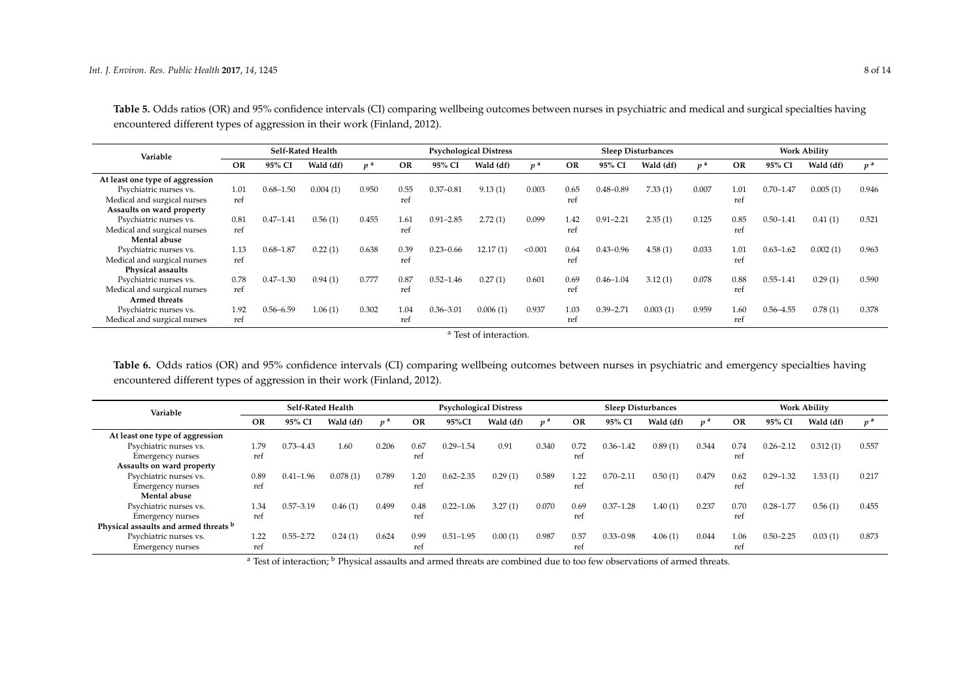| Variable                        |           | <b>Self-Rated Health</b> |           |             |      | <b>Psychological Distress</b> |           |             |           | <b>Sleep Disturbances</b> |           |                |      | <b>Work Ability</b> |           |                |  |
|---------------------------------|-----------|--------------------------|-----------|-------------|------|-------------------------------|-----------|-------------|-----------|---------------------------|-----------|----------------|------|---------------------|-----------|----------------|--|
|                                 | <b>OR</b> | 95% CI                   | Wald (df) | $v^{\rm a}$ | OR   | 95% CI                        | Wald (df) | $v^{\rm a}$ | <b>OR</b> | 95% CI                    | Wald (df) | n <sup>a</sup> | OR   | 95% CI              | Wald (df) | n <sup>a</sup> |  |
| At least one type of aggression |           |                          |           |             |      |                               |           |             |           |                           |           |                |      |                     |           |                |  |
| Psychiatric nurses vs.          | 1.01      | $0.68 - 1.50$            | 0.004(1)  | 0.950       | 0.55 | $0.37 - 0.81$                 | 9.13(1)   | 0.003       | 0.65      | $0.48 - 0.89$             | 7.33(1)   | 0.007          | 1.01 | $0.70 - 1.47$       | 0.005(1)  | 0.946          |  |
| Medical and surgical nurses     | ref       |                          |           |             | ref  |                               |           |             | ref       |                           |           |                | ref  |                     |           |                |  |
| Assaults on ward property       |           |                          |           |             |      |                               |           |             |           |                           |           |                |      |                     |           |                |  |
| Psychiatric nurses vs.          | 0.81      | $0.47 - 1.41$            | 0.56(1)   | 0.455       | 1.61 | $0.91 - 2.85$                 | 2.72(1)   | 0.099       | 1.42      | $0.91 - 2.21$             | 2.35(1)   | 0.125          | 0.85 | $0.50 - 1.41$       | 0.41(1)   | 0.521          |  |
| Medical and surgical nurses     | ref       |                          |           |             | ref  |                               |           |             | ref       |                           |           |                | ref  |                     |           |                |  |
| Mental abuse                    |           |                          |           |             |      |                               |           |             |           |                           |           |                |      |                     |           |                |  |
| Psychiatric nurses vs.          | 1.13      | $0.68 - 1.87$            | 0.22(1)   | 0.638       | 0.39 | $0.23 - 0.66$                 | 12.17(1)  | < 0.001     | 0.64      | $0.43 - 0.96$             | 4.58(1)   | 0.033          | 1.01 | $0.63 - 1.62$       | 0.002(1)  | 0.963          |  |
| Medical and surgical nurses     | ref       |                          |           |             | ref  |                               |           |             | ref       |                           |           |                | ref  |                     |           |                |  |
| Physical assaults               |           |                          |           |             |      |                               |           |             |           |                           |           |                |      |                     |           |                |  |
| Psychiatric nurses vs.          | 0.78      | $0.47 - 1.30$            | 0.94(1)   | 0.777       | 0.87 | $0.52 - 1.46$                 | 0.27(1)   | 0.601       | 0.69      | $0.46 - 1.04$             | 3.12(1)   | 0.078          | 0.88 | $0.55 - 1.41$       | 0.29(1)   | 0.590          |  |
| Medical and surgical nurses     | ref       |                          |           |             | ref  |                               |           |             | ref       |                           |           |                | ref  |                     |           |                |  |
| Armed threats                   |           |                          |           |             |      |                               |           |             |           |                           |           |                |      |                     |           |                |  |
| Psychiatric nurses vs.          | 1.92      | $0.56 - 6.59$            | 1.06(1)   | 0.302       | 1.04 | $0.36 - 3.01$                 | 0.006(1)  | 0.937       | 1.03      | $0.39 - 2.71$             | 0.003(1)  | 0.959          | 1.60 | $0.56 - 4.55$       | 0.78(1)   | 0.378          |  |
| Medical and surgical nurses     | ref       |                          |           |             | ref  |                               |           |             | ref       |                           |           |                | ref  |                     |           |                |  |

**Table 5.** Odds ratios (OR) and 95% confidence intervals (CI) comparing wellbeing outcomes between nurses in psychiatric and medical and surgical specialties having encountered different types of aggression in their work (Finland, 2012).

<sup>a</sup> Test of interaction.

**Table 6.** Odds ratios (OR) and 95% confidence intervals (CI) comparing wellbeing outcomes between nurses in psychiatric and emergency specialties having encountered different types of aggression in their work (Finland, 2012).

<span id="page-7-0"></span>

| Variable                              | <b>Self-Rated Health</b> |               |           | <b>Psychological Distress</b> |           |               |           | <b>Sleep Disturbances</b> |           |               |           | <b>Work Ability</b> |           |               |           |                  |
|---------------------------------------|--------------------------|---------------|-----------|-------------------------------|-----------|---------------|-----------|---------------------------|-----------|---------------|-----------|---------------------|-----------|---------------|-----------|------------------|
|                                       | <b>OR</b>                | 95% CI        | Wald (df) | n <sup>a</sup>                | <b>OR</b> | 95%CI         | Wald (df) | $p^{\rm a}$               | <b>OR</b> | 95% CI        | Wald (df) | p <sup>d</sup>      | <b>OR</b> | 95% CI        | Wald (df) | $v^{\mathsf{a}}$ |
| At least one type of aggression       |                          |               |           |                               |           |               |           |                           |           |               |           |                     |           |               |           |                  |
| Psychiatric nurses vs.                | 1.79                     | $0.73 - 4.43$ | 1.60      | 0.206                         | 0.67      | $0.29 - 1.54$ | 0.91      | 0.340                     | 0.72      | $0.36 - 1.42$ | 0.89(1)   | 0.344               | 0.74      | $0.26 - 2.12$ | 0.312(1)  | 0.557            |
| Emergency nurses                      | ref                      |               |           |                               | ref       |               |           |                           | ref       |               |           |                     | ref       |               |           |                  |
| Assaults on ward property             |                          |               |           |                               |           |               |           |                           |           |               |           |                     |           |               |           |                  |
| Psychiatric nurses vs.                | 0.89                     | $0.41 - 1.96$ | 0.078(1)  | 0.789                         | 1.20      | $0.62 - 2.35$ | 0.29(1)   | 0.589                     | 1.22      | $0.70 - 2.11$ | 0.50(1)   | 0.479               | 0.62      | $0.29 - 1.32$ | 1.53(1)   | 0.217            |
| Emergency nurses                      | ref                      |               |           |                               | ref       |               |           |                           | ref       |               |           |                     | ref       |               |           |                  |
| Mental abuse                          |                          |               |           |                               |           |               |           |                           |           |               |           |                     |           |               |           |                  |
| Psychiatric nurses vs.                | 1.34                     | $0.57 - 3.19$ | 0.46(1)   | 0.499                         | 0.48      | $0.22 - 1.06$ | 3.27(1)   | 0.070                     | 0.69      | $0.37 - 1.28$ | 1.40(1)   | 0.237               | 0.70      | $0.28 - 1.77$ | 0.56(1)   | 0.455            |
| Emergency nurses                      | ref                      |               |           |                               | ref       |               |           |                           | ref       |               |           |                     | ref       |               |           |                  |
| Physical assaults and armed threats b |                          |               |           |                               |           |               |           |                           |           |               |           |                     |           |               |           |                  |
| Psychiatric nurses vs.                | 1.22                     | $0.55 - 2.72$ | 0.24(1)   | 0.624                         | 0.99      | $0.51 - 1.95$ | 0.00(1)   | 0.987                     | 0.57      | $0.33 - 0.98$ | 4.06(1)   | 0.044               | 1.06      | $0.50 - 2.25$ | 0.03(1)   | 0.873            |
| Emergency nurses                      | ref                      |               |           |                               | ref       |               |           |                           | ref       |               |           |                     | ref       |               |           |                  |

<span id="page-7-1"></span><sup>a</sup> Test of interaction; <sup>b</sup> Physical assaults and armed threats are combined due to too few observations of armed threats.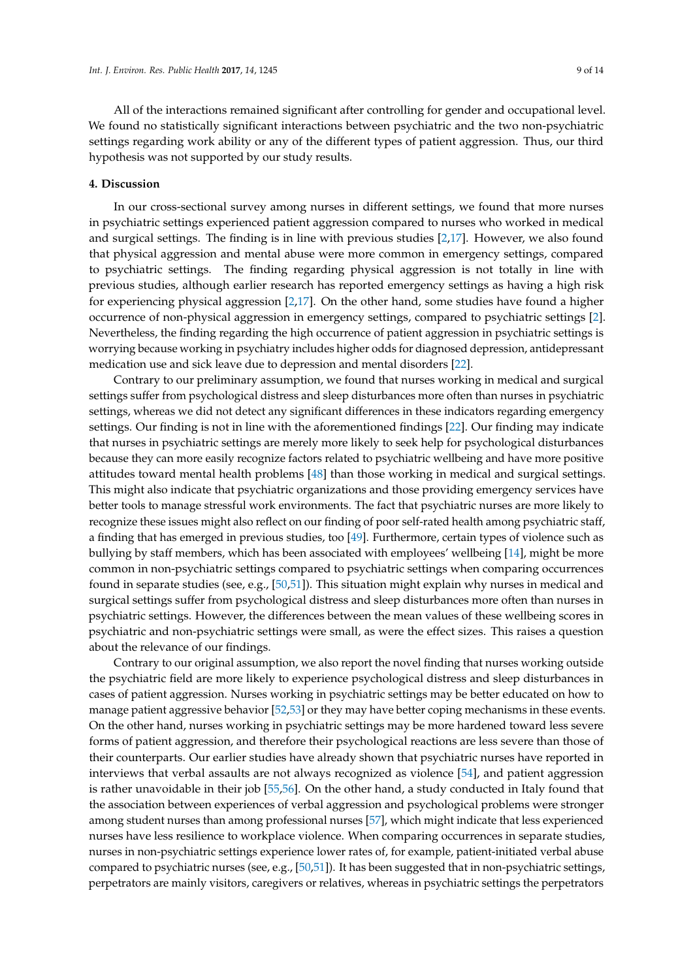All of the interactions remained significant after controlling for gender and occupational level. We found no statistically significant interactions between psychiatric and the two non-psychiatric settings regarding work ability or any of the different types of patient aggression. Thus, our third hypothesis was not supported by our study results.

#### **4. Discussion**

In our cross-sectional survey among nurses in different settings, we found that more nurses in psychiatric settings experienced patient aggression compared to nurses who worked in medical and surgical settings. The finding is in line with previous studies [\[2](#page-10-1)[,17\]](#page-10-13). However, we also found that physical aggression and mental abuse were more common in emergency settings, compared to psychiatric settings. The finding regarding physical aggression is not totally in line with previous studies, although earlier research has reported emergency settings as having a high risk for experiencing physical aggression [\[2,](#page-10-1)[17\]](#page-10-13). On the other hand, some studies have found a higher occurrence of non-physical aggression in emergency settings, compared to psychiatric settings [\[2\]](#page-10-1). Nevertheless, the finding regarding the high occurrence of patient aggression in psychiatric settings is worrying because working in psychiatry includes higher odds for diagnosed depression, antidepressant medication use and sick leave due to depression and mental disorders [\[22\]](#page-11-4).

Contrary to our preliminary assumption, we found that nurses working in medical and surgical settings suffer from psychological distress and sleep disturbances more often than nurses in psychiatric settings, whereas we did not detect any significant differences in these indicators regarding emergency settings. Our finding is not in line with the aforementioned findings [\[22\]](#page-11-4). Our finding may indicate that nurses in psychiatric settings are merely more likely to seek help for psychological disturbances because they can more easily recognize factors related to psychiatric wellbeing and have more positive attitudes toward mental health problems [\[48\]](#page-12-12) than those working in medical and surgical settings. This might also indicate that psychiatric organizations and those providing emergency services have better tools to manage stressful work environments. The fact that psychiatric nurses are more likely to recognize these issues might also reflect on our finding of poor self-rated health among psychiatric staff, a finding that has emerged in previous studies, too [\[49\]](#page-12-13). Furthermore, certain types of violence such as bullying by staff members, which has been associated with employees' wellbeing [\[14\]](#page-10-14), might be more common in non-psychiatric settings compared to psychiatric settings when comparing occurrences found in separate studies (see, e.g., [\[50](#page-12-14)[,51\]](#page-12-15)). This situation might explain why nurses in medical and surgical settings suffer from psychological distress and sleep disturbances more often than nurses in psychiatric settings. However, the differences between the mean values of these wellbeing scores in psychiatric and non-psychiatric settings were small, as were the effect sizes. This raises a question about the relevance of our findings.

Contrary to our original assumption, we also report the novel finding that nurses working outside the psychiatric field are more likely to experience psychological distress and sleep disturbances in cases of patient aggression. Nurses working in psychiatric settings may be better educated on how to manage patient aggressive behavior [\[52](#page-12-16)[,53\]](#page-12-17) or they may have better coping mechanisms in these events. On the other hand, nurses working in psychiatric settings may be more hardened toward less severe forms of patient aggression, and therefore their psychological reactions are less severe than those of their counterparts. Our earlier studies have already shown that psychiatric nurses have reported in interviews that verbal assaults are not always recognized as violence [\[54\]](#page-12-18), and patient aggression is rather unavoidable in their job [\[55,](#page-12-19)[56\]](#page-13-0). On the other hand, a study conducted in Italy found that the association between experiences of verbal aggression and psychological problems were stronger among student nurses than among professional nurses [\[57\]](#page-13-1), which might indicate that less experienced nurses have less resilience to workplace violence. When comparing occurrences in separate studies, nurses in non-psychiatric settings experience lower rates of, for example, patient-initiated verbal abuse compared to psychiatric nurses (see, e.g., [\[50](#page-12-14)[,51\]](#page-12-15)). It has been suggested that in non-psychiatric settings, perpetrators are mainly visitors, caregivers or relatives, whereas in psychiatric settings the perpetrators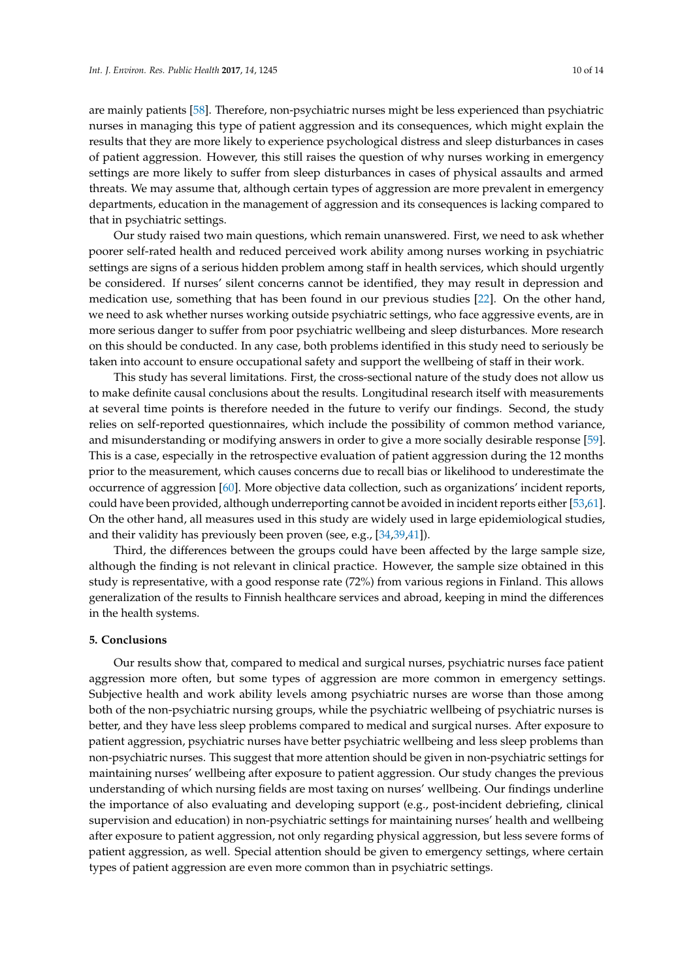are mainly patients [\[58\]](#page-13-2). Therefore, non-psychiatric nurses might be less experienced than psychiatric nurses in managing this type of patient aggression and its consequences, which might explain the results that they are more likely to experience psychological distress and sleep disturbances in cases of patient aggression. However, this still raises the question of why nurses working in emergency settings are more likely to suffer from sleep disturbances in cases of physical assaults and armed threats. We may assume that, although certain types of aggression are more prevalent in emergency departments, education in the management of aggression and its consequences is lacking compared to that in psychiatric settings.

Our study raised two main questions, which remain unanswered. First, we need to ask whether poorer self-rated health and reduced perceived work ability among nurses working in psychiatric settings are signs of a serious hidden problem among staff in health services, which should urgently be considered. If nurses' silent concerns cannot be identified, they may result in depression and medication use, something that has been found in our previous studies [\[22\]](#page-11-4). On the other hand, we need to ask whether nurses working outside psychiatric settings, who face aggressive events, are in more serious danger to suffer from poor psychiatric wellbeing and sleep disturbances. More research on this should be conducted. In any case, both problems identified in this study need to seriously be taken into account to ensure occupational safety and support the wellbeing of staff in their work.

This study has several limitations. First, the cross-sectional nature of the study does not allow us to make definite causal conclusions about the results. Longitudinal research itself with measurements at several time points is therefore needed in the future to verify our findings. Second, the study relies on self-reported questionnaires, which include the possibility of common method variance, and misunderstanding or modifying answers in order to give a more socially desirable response [\[59\]](#page-13-3). This is a case, especially in the retrospective evaluation of patient aggression during the 12 months prior to the measurement, which causes concerns due to recall bias or likelihood to underestimate the occurrence of aggression [\[60\]](#page-13-4). More objective data collection, such as organizations' incident reports, could have been provided, although underreporting cannot be avoided in incident reports either [\[53](#page-12-17)[,61\]](#page-13-5). On the other hand, all measures used in this study are widely used in large epidemiological studies, and their validity has previously been proven (see, e.g., [\[34,](#page-11-16)[39,](#page-12-3)[41\]](#page-12-5)).

Third, the differences between the groups could have been affected by the large sample size, although the finding is not relevant in clinical practice. However, the sample size obtained in this study is representative, with a good response rate (72%) from various regions in Finland. This allows generalization of the results to Finnish healthcare services and abroad, keeping in mind the differences in the health systems.

#### **5. Conclusions**

Our results show that, compared to medical and surgical nurses, psychiatric nurses face patient aggression more often, but some types of aggression are more common in emergency settings. Subjective health and work ability levels among psychiatric nurses are worse than those among both of the non-psychiatric nursing groups, while the psychiatric wellbeing of psychiatric nurses is better, and they have less sleep problems compared to medical and surgical nurses. After exposure to patient aggression, psychiatric nurses have better psychiatric wellbeing and less sleep problems than non-psychiatric nurses. This suggest that more attention should be given in non-psychiatric settings for maintaining nurses' wellbeing after exposure to patient aggression. Our study changes the previous understanding of which nursing fields are most taxing on nurses' wellbeing. Our findings underline the importance of also evaluating and developing support (e.g., post-incident debriefing, clinical supervision and education) in non-psychiatric settings for maintaining nurses' health and wellbeing after exposure to patient aggression, not only regarding physical aggression, but less severe forms of patient aggression, as well. Special attention should be given to emergency settings, where certain types of patient aggression are even more common than in psychiatric settings.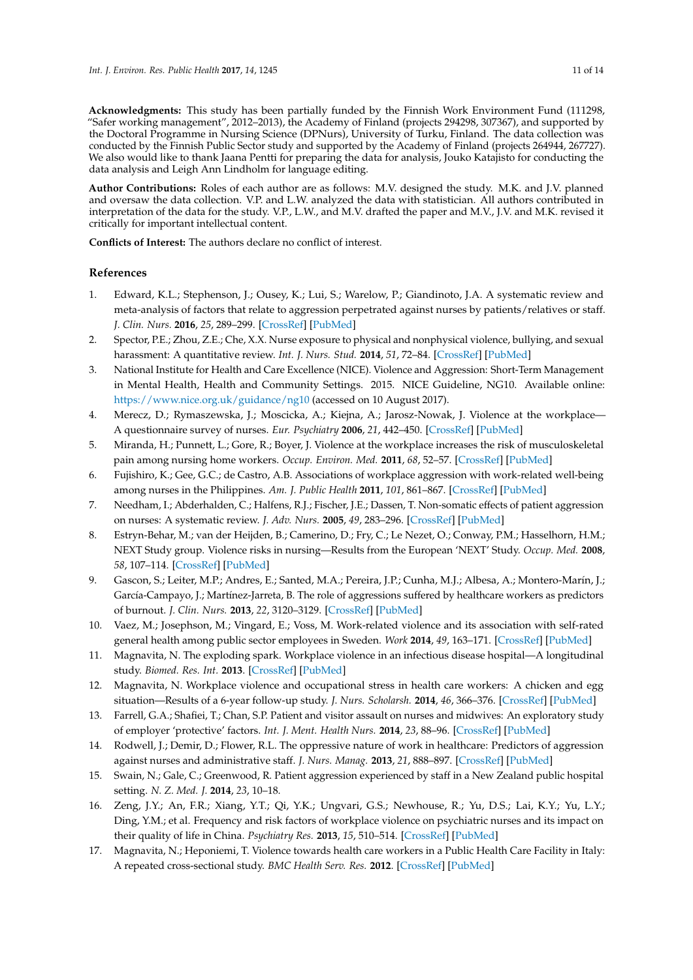**Acknowledgments:** This study has been partially funded by the Finnish Work Environment Fund (111298, "Safer working management", 2012–2013), the Academy of Finland (projects 294298, 307367), and supported by the Doctoral Programme in Nursing Science (DPNurs), University of Turku, Finland. The data collection was conducted by the Finnish Public Sector study and supported by the Academy of Finland (projects 264944, 267727). We also would like to thank Jaana Pentti for preparing the data for analysis, Jouko Katajisto for conducting the data analysis and Leigh Ann Lindholm for language editing.

**Author Contributions:** Roles of each author are as follows: M.V. designed the study. M.K. and J.V. planned and oversaw the data collection. V.P. and L.W. analyzed the data with statistician. All authors contributed in interpretation of the data for the study. V.P., L.W., and M.V. drafted the paper and M.V., J.V. and M.K. revised it critically for important intellectual content.

**Conflicts of Interest:** The authors declare no conflict of interest.

# **References**

- <span id="page-10-0"></span>1. Edward, K.L.; Stephenson, J.; Ousey, K.; Lui, S.; Warelow, P.; Giandinoto, J.A. A systematic review and meta-analysis of factors that relate to aggression perpetrated against nurses by patients/relatives or staff. *J. Clin. Nurs.* **2016**, *25*, 289–299. [\[CrossRef\]](http://dx.doi.org/10.1111/jocn.13019) [\[PubMed\]](http://www.ncbi.nlm.nih.gov/pubmed/26507792)
- <span id="page-10-1"></span>2. Spector, P.E.; Zhou, Z.E.; Che, X.X. Nurse exposure to physical and nonphysical violence, bullying, and sexual harassment: A quantitative review. *Int. J. Nurs. Stud.* **2014**, *51*, 72–84. [\[CrossRef\]](http://dx.doi.org/10.1016/j.ijnurstu.2013.01.010) [\[PubMed\]](http://www.ncbi.nlm.nih.gov/pubmed/23433725)
- <span id="page-10-2"></span>3. National Institute for Health and Care Excellence (NICE). Violence and Aggression: Short-Term Management in Mental Health, Health and Community Settings. 2015. NICE Guideline, NG10. Available online: <https://www.nice.org.uk/guidance/ng10> (accessed on 10 August 2017).
- <span id="page-10-3"></span>4. Merecz, D.; Rymaszewska, J.; Moscicka, A.; Kiejna, A.; Jarosz-Nowak, J. Violence at the workplace— A questionnaire survey of nurses. *Eur. Psychiatry* **2006**, *21*, 442–450. [\[CrossRef\]](http://dx.doi.org/10.1016/j.eurpsy.2006.01.001) [\[PubMed\]](http://www.ncbi.nlm.nih.gov/pubmed/16530389)
- 5. Miranda, H.; Punnett, L.; Gore, R.; Boyer, J. Violence at the workplace increases the risk of musculoskeletal pain among nursing home workers. *Occup. Environ. Med.* **2011**, *68*, 52–57. [\[CrossRef\]](http://dx.doi.org/10.1136/oem.2009.051474) [\[PubMed\]](http://www.ncbi.nlm.nih.gov/pubmed/20876554)
- <span id="page-10-4"></span>6. Fujishiro, K.; Gee, G.C.; de Castro, A.B. Associations of workplace aggression with work-related well-being among nurses in the Philippines. *Am. J. Public Health* **2011**, *101*, 861–867. [\[CrossRef\]](http://dx.doi.org/10.2105/AJPH.2009.188144) [\[PubMed\]](http://www.ncbi.nlm.nih.gov/pubmed/21088262)
- <span id="page-10-5"></span>7. Needham, I.; Abderhalden, C.; Halfens, R.J.; Fischer, J.E.; Dassen, T. Non-somatic effects of patient aggression on nurses: A systematic review. *J. Adv. Nurs.* **2005**, *49*, 283–296. [\[CrossRef\]](http://dx.doi.org/10.1111/j.1365-2648.2004.03286.x) [\[PubMed\]](http://www.ncbi.nlm.nih.gov/pubmed/15660553)
- <span id="page-10-6"></span>8. Estryn-Behar, M.; van der Heijden, B.; Camerino, D.; Fry, C.; Le Nezet, O.; Conway, P.M.; Hasselhorn, H.M.; NEXT Study group. Violence risks in nursing—Results from the European 'NEXT' Study. *Occup. Med.* **2008**, *58*, 107–114. [\[CrossRef\]](http://dx.doi.org/10.1093/occmed/kqm142) [\[PubMed\]](http://www.ncbi.nlm.nih.gov/pubmed/18211910)
- <span id="page-10-7"></span>9. Gascon, S.; Leiter, M.P.; Andres, E.; Santed, M.A.; Pereira, J.P.; Cunha, M.J.; Albesa, A.; Montero-Marín, J.; García-Campayo, J.; Martínez-Jarreta, B. The role of aggressions suffered by healthcare workers as predictors of burnout. *J. Clin. Nurs.* **2013**, *22*, 3120–3129. [\[CrossRef\]](http://dx.doi.org/10.1111/j.1365-2702.2012.04255.x) [\[PubMed\]](http://www.ncbi.nlm.nih.gov/pubmed/22978353)
- <span id="page-10-8"></span>10. Vaez, M.; Josephson, M.; Vingard, E.; Voss, M. Work-related violence and its association with self-rated general health among public sector employees in Sweden. *Work* **2014**, *49*, 163–171. [\[CrossRef\]](http://dx.doi.org/10.3233/WOR-131715) [\[PubMed\]](http://www.ncbi.nlm.nih.gov/pubmed/24004771)
- <span id="page-10-9"></span>11. Magnavita, N. The exploding spark. Workplace violence in an infectious disease hospital—A longitudinal study. *Biomed. Res. Int.* **2013**. [\[CrossRef\]](http://dx.doi.org/10.1155/2013/316358) [\[PubMed\]](http://www.ncbi.nlm.nih.gov/pubmed/23936789)
- <span id="page-10-10"></span>12. Magnavita, N. Workplace violence and occupational stress in health care workers: A chicken and egg situation—Results of a 6-year follow-up study. *J. Nurs. Scholarsh.* **2014**, *46*, 366–376. [\[CrossRef\]](http://dx.doi.org/10.1111/jnu.12088) [\[PubMed\]](http://www.ncbi.nlm.nih.gov/pubmed/24754800)
- <span id="page-10-11"></span>13. Farrell, G.A.; Shafiei, T.; Chan, S.P. Patient and visitor assault on nurses and midwives: An exploratory study of employer 'protective' factors. *Int. J. Ment. Health Nurs.* **2014**, *23*, 88–96. [\[CrossRef\]](http://dx.doi.org/10.1111/inm.12002) [\[PubMed\]](http://www.ncbi.nlm.nih.gov/pubmed/23279321)
- <span id="page-10-14"></span>14. Rodwell, J.; Demir, D.; Flower, R.L. The oppressive nature of work in healthcare: Predictors of aggression against nurses and administrative staff. *J. Nurs. Manag.* **2013**, *21*, 888–897. [\[CrossRef\]](http://dx.doi.org/10.1111/jonm.12086) [\[PubMed\]](http://www.ncbi.nlm.nih.gov/pubmed/23927584)
- 15. Swain, N.; Gale, C.; Greenwood, R. Patient aggression experienced by staff in a New Zealand public hospital setting. *N. Z. Med. J.* **2014**, *23*, 10–18.
- <span id="page-10-12"></span>16. Zeng, J.Y.; An, F.R.; Xiang, Y.T.; Qi, Y.K.; Ungvari, G.S.; Newhouse, R.; Yu, D.S.; Lai, K.Y.; Yu, L.Y.; Ding, Y.M.; et al. Frequency and risk factors of workplace violence on psychiatric nurses and its impact on their quality of life in China. *Psychiatry Res.* **2013**, *15*, 510–514. [\[CrossRef\]](http://dx.doi.org/10.1016/j.psychres.2013.06.013) [\[PubMed\]](http://www.ncbi.nlm.nih.gov/pubmed/23850435)
- <span id="page-10-13"></span>17. Magnavita, N.; Heponiemi, T. Violence towards health care workers in a Public Health Care Facility in Italy: A repeated cross-sectional study. *BMC Health Serv. Res.* **2012**. [\[CrossRef\]](http://dx.doi.org/10.1186/1472-6963-12-108) [\[PubMed\]](http://www.ncbi.nlm.nih.gov/pubmed/22551645)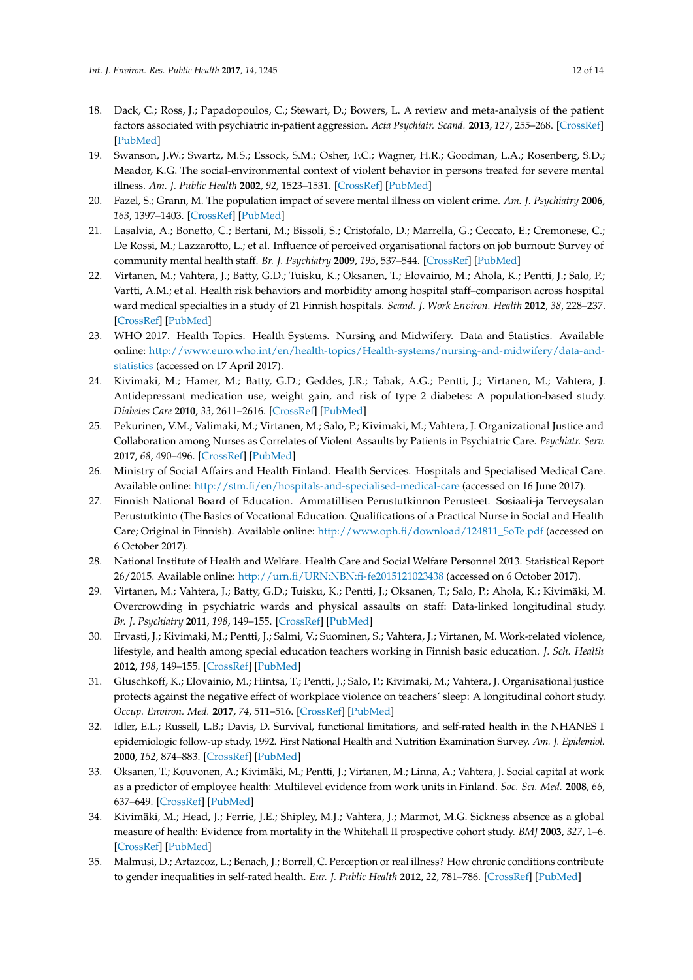- <span id="page-11-0"></span>18. Dack, C.; Ross, J.; Papadopoulos, C.; Stewart, D.; Bowers, L. A review and meta-analysis of the patient factors associated with psychiatric in-patient aggression. *Acta Psychiatr. Scand.* **2013**, *127*, 255–268. [\[CrossRef\]](http://dx.doi.org/10.1111/acps.12053) [\[PubMed\]](http://www.ncbi.nlm.nih.gov/pubmed/23289890)
- <span id="page-11-1"></span>19. Swanson, J.W.; Swartz, M.S.; Essock, S.M.; Osher, F.C.; Wagner, H.R.; Goodman, L.A.; Rosenberg, S.D.; Meador, K.G. The social-environmental context of violent behavior in persons treated for severe mental illness. *Am. J. Public Health* **2002**, *92*, 1523–1531. [\[CrossRef\]](http://dx.doi.org/10.2105/AJPH.92.9.1523) [\[PubMed\]](http://www.ncbi.nlm.nih.gov/pubmed/12197987)
- <span id="page-11-2"></span>20. Fazel, S.; Grann, M. The population impact of severe mental illness on violent crime. *Am. J. Psychiatry* **2006**, *163*, 1397–1403. [\[CrossRef\]](http://dx.doi.org/10.1176/ajp.2006.163.8.1397) [\[PubMed\]](http://www.ncbi.nlm.nih.gov/pubmed/16877653)
- <span id="page-11-3"></span>21. Lasalvia, A.; Bonetto, C.; Bertani, M.; Bissoli, S.; Cristofalo, D.; Marrella, G.; Ceccato, E.; Cremonese, C.; De Rossi, M.; Lazzarotto, L.; et al. Influence of perceived organisational factors on job burnout: Survey of community mental health staff. *Br. J. Psychiatry* **2009**, *195*, 537–544. [\[CrossRef\]](http://dx.doi.org/10.1192/bjp.bp.108.060871) [\[PubMed\]](http://www.ncbi.nlm.nih.gov/pubmed/19949206)
- <span id="page-11-4"></span>22. Virtanen, M.; Vahtera, J.; Batty, G.D.; Tuisku, K.; Oksanen, T.; Elovainio, M.; Ahola, K.; Pentti, J.; Salo, P.; Vartti, A.M.; et al. Health risk behaviors and morbidity among hospital staff–comparison across hospital ward medical specialties in a study of 21 Finnish hospitals. *Scand. J. Work Environ. Health* **2012**, *38*, 228–237. [\[CrossRef\]](http://dx.doi.org/10.5271/sjweh.3264) [\[PubMed\]](http://www.ncbi.nlm.nih.gov/pubmed/22173213)
- <span id="page-11-5"></span>23. WHO 2017. Health Topics. Health Systems. Nursing and Midwifery. Data and Statistics. Available online: [http://www.euro.who.int/en/health-topics/Health-systems/nursing-and-midwifery/data-and](http://www.euro.who.int/en/health-topics/Health-systems/nursing-and-midwifery/data-and-statistics)[statistics](http://www.euro.who.int/en/health-topics/Health-systems/nursing-and-midwifery/data-and-statistics) (accessed on 17 April 2017).
- <span id="page-11-6"></span>24. Kivimaki, M.; Hamer, M.; Batty, G.D.; Geddes, J.R.; Tabak, A.G.; Pentti, J.; Virtanen, M.; Vahtera, J. Antidepressant medication use, weight gain, and risk of type 2 diabetes: A population-based study. *Diabetes Care* **2010**, *33*, 2611–2616. [\[CrossRef\]](http://dx.doi.org/10.2337/dc10-1187) [\[PubMed\]](http://www.ncbi.nlm.nih.gov/pubmed/20823343)
- <span id="page-11-7"></span>25. Pekurinen, V.M.; Valimaki, M.; Virtanen, M.; Salo, P.; Kivimaki, M.; Vahtera, J. Organizational Justice and Collaboration among Nurses as Correlates of Violent Assaults by Patients in Psychiatric Care. *Psychiatr. Serv.* **2017**, *68*, 490–496. [\[CrossRef\]](http://dx.doi.org/10.1176/appi.ps.201600171) [\[PubMed\]](http://www.ncbi.nlm.nih.gov/pubmed/28142388)
- <span id="page-11-8"></span>26. Ministry of Social Affairs and Health Finland. Health Services. Hospitals and Specialised Medical Care. Available online: <http://stm.fi/en/hospitals-and-specialised-medical-care> (accessed on 16 June 2017).
- <span id="page-11-9"></span>27. Finnish National Board of Education. Ammatillisen Perustutkinnon Perusteet. Sosiaali-ja Terveysalan Perustutkinto (The Basics of Vocational Education. Qualifications of a Practical Nurse in Social and Health Care; Original in Finnish). Available online: [http://www.oph.fi/download/124811\\_SoTe.pdf](http://www.oph.fi/download/124811_SoTe.pdf) (accessed on 6 October 2017).
- <span id="page-11-10"></span>28. National Institute of Health and Welfare. Health Care and Social Welfare Personnel 2013. Statistical Report 26/2015. Available online: <http://urn.fi/URN:NBN:fi-fe2015121023438> (accessed on 6 October 2017).
- <span id="page-11-11"></span>29. Virtanen, M.; Vahtera, J.; Batty, G.D.; Tuisku, K.; Pentti, J.; Oksanen, T.; Salo, P.; Ahola, K.; Kivimäki, M. Overcrowding in psychiatric wards and physical assaults on staff: Data-linked longitudinal study. *Br. J. Psychiatry* **2011**, *198*, 149–155. [\[CrossRef\]](http://dx.doi.org/10.1192/bjp.bp.110.082388) [\[PubMed\]](http://www.ncbi.nlm.nih.gov/pubmed/21282786)
- <span id="page-11-12"></span>30. Ervasti, J.; Kivimaki, M.; Pentti, J.; Salmi, V.; Suominen, S.; Vahtera, J.; Virtanen, M. Work-related violence, lifestyle, and health among special education teachers working in Finnish basic education. *J. Sch. Health* **2012**, *198*, 149–155. [\[CrossRef\]](http://dx.doi.org/10.1111/j.1746-1561.2012.00707.x) [\[PubMed\]](http://www.ncbi.nlm.nih.gov/pubmed/22671950)
- <span id="page-11-13"></span>31. Gluschkoff, K.; Elovainio, M.; Hintsa, T.; Pentti, J.; Salo, P.; Kivimaki, M.; Vahtera, J. Organisational justice protects against the negative effect of workplace violence on teachers' sleep: A longitudinal cohort study. *Occup. Environ. Med.* **2017**, *74*, 511–516. [\[CrossRef\]](http://dx.doi.org/10.1136/oemed-2016-104027) [\[PubMed\]](http://www.ncbi.nlm.nih.gov/pubmed/28298417)
- <span id="page-11-14"></span>32. Idler, E.L.; Russell, L.B.; Davis, D. Survival, functional limitations, and self-rated health in the NHANES I epidemiologic follow-up study, 1992. First National Health and Nutrition Examination Survey. *Am. J. Epidemiol.* **2000**, *152*, 874–883. [\[CrossRef\]](http://dx.doi.org/10.1093/aje/152.9.874) [\[PubMed\]](http://www.ncbi.nlm.nih.gov/pubmed/11085400)
- <span id="page-11-15"></span>33. Oksanen, T.; Kouvonen, A.; Kivimäki, M.; Pentti, J.; Virtanen, M.; Linna, A.; Vahtera, J. Social capital at work as a predictor of employee health: Multilevel evidence from work units in Finland. *Soc. Sci. Med.* **2008**, *66*, 637–649. [\[CrossRef\]](http://dx.doi.org/10.1016/j.socscimed.2007.10.013) [\[PubMed\]](http://www.ncbi.nlm.nih.gov/pubmed/18006128)
- <span id="page-11-16"></span>34. Kivimäki, M.; Head, J.; Ferrie, J.E.; Shipley, M.J.; Vahtera, J.; Marmot, M.G. Sickness absence as a global measure of health: Evidence from mortality in the Whitehall II prospective cohort study. *BMJ* **2003**, *327*, 1–6. [\[CrossRef\]](http://dx.doi.org/10.1136/bmj.327.7411.364) [\[PubMed\]](http://www.ncbi.nlm.nih.gov/pubmed/12919985)
- <span id="page-11-17"></span>35. Malmusi, D.; Artazcoz, L.; Benach, J.; Borrell, C. Perception or real illness? How chronic conditions contribute to gender inequalities in self-rated health. *Eur. J. Public Health* **2012**, *22*, 781–786. [\[CrossRef\]](http://dx.doi.org/10.1093/eurpub/ckr184) [\[PubMed\]](http://www.ncbi.nlm.nih.gov/pubmed/22179096)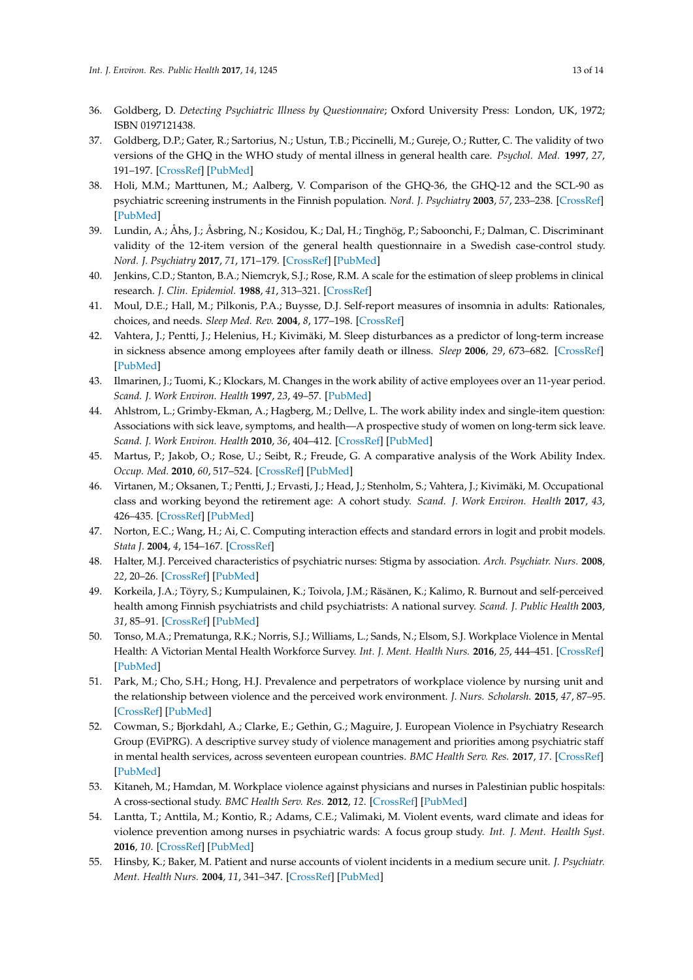- <span id="page-12-0"></span>36. Goldberg, D. *Detecting Psychiatric Illness by Questionnaire*; Oxford University Press: London, UK, 1972; ISBN 0197121438.
- <span id="page-12-1"></span>37. Goldberg, D.P.; Gater, R.; Sartorius, N.; Ustun, T.B.; Piccinelli, M.; Gureje, O.; Rutter, C. The validity of two versions of the GHQ in the WHO study of mental illness in general health care. *Psychol. Med.* **1997**, *27*, 191–197. [\[CrossRef\]](http://dx.doi.org/10.1017/S0033291796004242) [\[PubMed\]](http://www.ncbi.nlm.nih.gov/pubmed/9122299)
- <span id="page-12-2"></span>38. Holi, M.M.; Marttunen, M.; Aalberg, V. Comparison of the GHQ-36, the GHQ-12 and the SCL-90 as psychiatric screening instruments in the Finnish population. *Nord. J. Psychiatry* **2003**, *57*, 233–238. [\[CrossRef\]](http://dx.doi.org/10.1080/08039480310001418) [\[PubMed\]](http://www.ncbi.nlm.nih.gov/pubmed/12775300)
- <span id="page-12-3"></span>39. Lundin, A.; Åhs, J.; Åsbring, N.; Kosidou, K.; Dal, H.; Tinghög, P.; Saboonchi, F.; Dalman, C. Discriminant validity of the 12-item version of the general health questionnaire in a Swedish case-control study. *Nord. J. Psychiatry* **2017**, *71*, 171–179. [\[CrossRef\]](http://dx.doi.org/10.1080/08039488.2016.1246608) [\[PubMed\]](http://www.ncbi.nlm.nih.gov/pubmed/27796153)
- <span id="page-12-4"></span>40. Jenkins, C.D.; Stanton, B.A.; Niemcryk, S.J.; Rose, R.M. A scale for the estimation of sleep problems in clinical research. *J. Clin. Epidemiol.* **1988**, *41*, 313–321. [\[CrossRef\]](http://dx.doi.org/10.1016/0895-4356(88)90138-2)
- <span id="page-12-5"></span>41. Moul, D.E.; Hall, M.; Pilkonis, P.A.; Buysse, D.J. Self-report measures of insomnia in adults: Rationales, choices, and needs. *Sleep Med. Rev.* **2004**, *8*, 177–198. [\[CrossRef\]](http://dx.doi.org/10.1016/S1087-0792(03)00060-1)
- <span id="page-12-6"></span>42. Vahtera, J.; Pentti, J.; Helenius, H.; Kivimäki, M. Sleep disturbances as a predictor of long-term increase in sickness absence among employees after family death or illness. *Sleep* **2006**, *29*, 673–682. [\[CrossRef\]](http://dx.doi.org/10.1093/sleep/29.5.673) [\[PubMed\]](http://www.ncbi.nlm.nih.gov/pubmed/16774158)
- <span id="page-12-7"></span>43. Ilmarinen, J.; Tuomi, K.; Klockars, M. Changes in the work ability of active employees over an 11-year period. *Scand. J. Work Environ. Health* **1997**, *23*, 49–57. [\[PubMed\]](http://www.ncbi.nlm.nih.gov/pubmed/9247995)
- <span id="page-12-8"></span>44. Ahlstrom, L.; Grimby-Ekman, A.; Hagberg, M.; Dellve, L. The work ability index and single-item question: Associations with sick leave, symptoms, and health—A prospective study of women on long-term sick leave. *Scand. J. Work Environ. Health* **2010**, *36*, 404–412. [\[CrossRef\]](http://dx.doi.org/10.5271/sjweh.2917) [\[PubMed\]](http://www.ncbi.nlm.nih.gov/pubmed/20372766)
- <span id="page-12-9"></span>45. Martus, P.; Jakob, O.; Rose, U.; Seibt, R.; Freude, G. A comparative analysis of the Work Ability Index. *Occup. Med.* **2010**, *60*, 517–524. [\[CrossRef\]](http://dx.doi.org/10.1093/occmed/kqq093) [\[PubMed\]](http://www.ncbi.nlm.nih.gov/pubmed/20573840)
- <span id="page-12-10"></span>46. Virtanen, M.; Oksanen, T.; Pentti, J.; Ervasti, J.; Head, J.; Stenholm, S.; Vahtera, J.; Kivimäki, M. Occupational class and working beyond the retirement age: A cohort study. *Scand. J. Work Environ. Health* **2017**, *43*, 426–435. [\[CrossRef\]](http://dx.doi.org/10.5271/sjweh.3645) [\[PubMed\]](http://www.ncbi.nlm.nih.gov/pubmed/28504807)
- <span id="page-12-11"></span>47. Norton, E.C.; Wang, H.; Ai, C. Computing interaction effects and standard errors in logit and probit models. *Stata J.* **2004**, *4*, 154–167. [\[CrossRef\]](http://dx.doi.org/10.1016/S0165-1765(03)00032-6)
- <span id="page-12-12"></span>48. Halter, M.J. Perceived characteristics of psychiatric nurses: Stigma by association. *Arch. Psychiatr. Nurs.* **2008**, *22*, 20–26. [\[CrossRef\]](http://dx.doi.org/10.1016/j.apnu.2007.03.003) [\[PubMed\]](http://www.ncbi.nlm.nih.gov/pubmed/18207053)
- <span id="page-12-13"></span>49. Korkeila, J.A.; Töyry, S.; Kumpulainen, K.; Toivola, J.M.; Räsänen, K.; Kalimo, R. Burnout and self-perceived health among Finnish psychiatrists and child psychiatrists: A national survey. *Scand. J. Public Health* **2003**, *31*, 85–91. [\[CrossRef\]](http://dx.doi.org/10.1080/14034940210133880) [\[PubMed\]](http://www.ncbi.nlm.nih.gov/pubmed/12745757)
- <span id="page-12-14"></span>50. Tonso, M.A.; Prematunga, R.K.; Norris, S.J.; Williams, L.; Sands, N.; Elsom, S.J. Workplace Violence in Mental Health: A Victorian Mental Health Workforce Survey. *Int. J. Ment. Health Nurs.* **2016**, *25*, 444–451. [\[CrossRef\]](http://dx.doi.org/10.1111/inm.12232) [\[PubMed\]](http://www.ncbi.nlm.nih.gov/pubmed/27339029)
- <span id="page-12-15"></span>51. Park, M.; Cho, S.H.; Hong, H.J. Prevalence and perpetrators of workplace violence by nursing unit and the relationship between violence and the perceived work environment. *J. Nurs. Scholarsh.* **2015**, *47*, 87–95. [\[CrossRef\]](http://dx.doi.org/10.1111/jnu.12112) [\[PubMed\]](http://www.ncbi.nlm.nih.gov/pubmed/25352254)
- <span id="page-12-16"></span>52. Cowman, S.; Bjorkdahl, A.; Clarke, E.; Gethin, G.; Maguire, J. European Violence in Psychiatry Research Group (EViPRG). A descriptive survey study of violence management and priorities among psychiatric staff in mental health services, across seventeen european countries. *BMC Health Serv. Res.* **2017**, *17*. [\[CrossRef\]](http://dx.doi.org/10.1186/s12913-017-1988-7) [\[PubMed\]](http://www.ncbi.nlm.nih.gov/pubmed/28103871)
- <span id="page-12-17"></span>53. Kitaneh, M.; Hamdan, M. Workplace violence against physicians and nurses in Palestinian public hospitals: A cross-sectional study. *BMC Health Serv. Res.* **2012**, *12*. [\[CrossRef\]](http://dx.doi.org/10.1186/1472-6963-12-469) [\[PubMed\]](http://www.ncbi.nlm.nih.gov/pubmed/23256893)
- <span id="page-12-18"></span>54. Lantta, T.; Anttila, M.; Kontio, R.; Adams, C.E.; Valimaki, M. Violent events, ward climate and ideas for violence prevention among nurses in psychiatric wards: A focus group study. *Int. J. Ment. Health Syst.* **2016**, *10*. [\[CrossRef\]](http://dx.doi.org/10.1186/s13033-016-0059-5) [\[PubMed\]](http://www.ncbi.nlm.nih.gov/pubmed/27051463)
- <span id="page-12-19"></span>55. Hinsby, K.; Baker, M. Patient and nurse accounts of violent incidents in a medium secure unit. *J. Psychiatr. Ment. Health Nurs.* **2004**, *11*, 341–347. [\[CrossRef\]](http://dx.doi.org/10.1111/j.1365-2850.2004.00736.x) [\[PubMed\]](http://www.ncbi.nlm.nih.gov/pubmed/15149383)